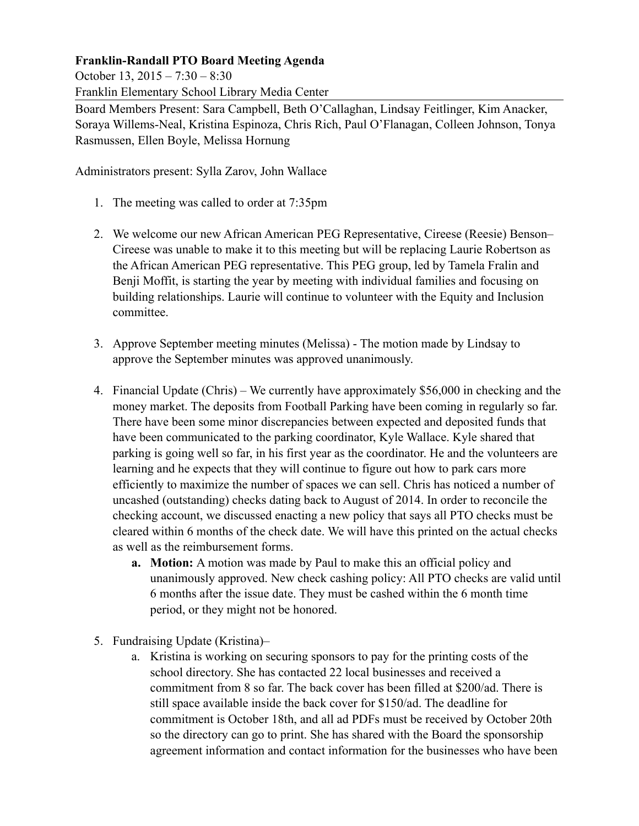## **Franklin-Randall PTO Board Meeting Agenda**

October 13, 2015 – 7:30 – 8:30

Franklin Elementary School Library Media Center

Board Members Present: Sara Campbell, Beth O'Callaghan, Lindsay Feitlinger, Kim Anacker, Soraya Willems-Neal, Kristina Espinoza, Chris Rich, Paul O'Flanagan, Colleen Johnson, Tonya Rasmussen, Ellen Boyle, Melissa Hornung

Administrators present: Sylla Zarov, John Wallace

- 1. The meeting was called to order at 7:35pm
- 2. We welcome our new African American PEG Representative, Cireese (Reesie) Benson– Cireese was unable to make it to this meeting but will be replacing Laurie Robertson as the African American PEG representative. This PEG group, led by Tamela Fralin and Benji Moffit, is starting the year by meeting with individual families and focusing on building relationships. Laurie will continue to volunteer with the Equity and Inclusion committee.
- 3. Approve September meeting minutes (Melissa) The motion made by Lindsay to approve the September minutes was approved unanimously.
- 4. Financial Update (Chris) We currently have approximately \$56,000 in checking and the money market. The deposits from Football Parking have been coming in regularly so far. There have been some minor discrepancies between expected and deposited funds that have been communicated to the parking coordinator, Kyle Wallace. Kyle shared that parking is going well so far, in his first year as the coordinator. He and the volunteers are learning and he expects that they will continue to figure out how to park cars more efficiently to maximize the number of spaces we can sell. Chris has noticed a number of uncashed (outstanding) checks dating back to August of 2014. In order to reconcile the checking account, we discussed enacting a new policy that says all PTO checks must be cleared within 6 months of the check date. We will have this printed on the actual checks as well as the reimbursement forms.
	- **a. Motion:** A motion was made by Paul to make this an official policy and unanimously approved. New check cashing policy: All PTO checks are valid until 6 months after the issue date. They must be cashed within the 6 month time period, or they might not be honored.
- 5. Fundraising Update (Kristina)–
	- a. Kristina is working on securing sponsors to pay for the printing costs of the school directory. She has contacted 22 local businesses and received a commitment from 8 so far. The back cover has been filled at \$200/ad. There is still space available inside the back cover for \$150/ad. The deadline for commitment is October 18th, and all ad PDFs must be received by October 20th so the directory can go to print. She has shared with the Board the sponsorship agreement information and contact information for the businesses who have been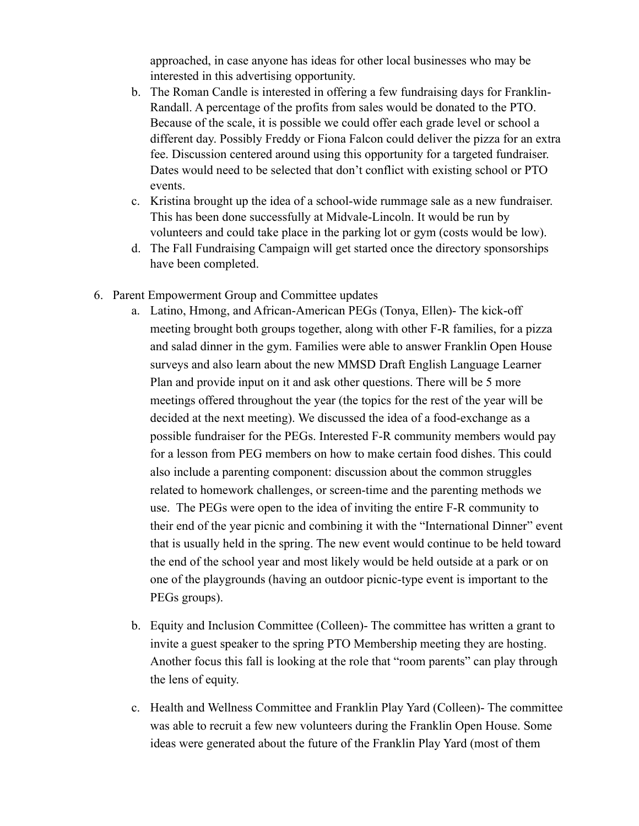approached, in case anyone has ideas for other local businesses who may be interested in this advertising opportunity.

- b. The Roman Candle is interested in offering a few fundraising days for Franklin-Randall. A percentage of the profits from sales would be donated to the PTO. Because of the scale, it is possible we could offer each grade level or school a different day. Possibly Freddy or Fiona Falcon could deliver the pizza for an extra fee. Discussion centered around using this opportunity for a targeted fundraiser. Dates would need to be selected that don't conflict with existing school or PTO events.
- c. Kristina brought up the idea of a school-wide rummage sale as a new fundraiser. This has been done successfully at Midvale-Lincoln. It would be run by volunteers and could take place in the parking lot or gym (costs would be low).
- d. The Fall Fundraising Campaign will get started once the directory sponsorships have been completed.
- 6. Parent Empowerment Group and Committee updates
	- a. Latino, Hmong, and African-American PEGs (Tonya, Ellen)- The kick-off meeting brought both groups together, along with other F-R families, for a pizza and salad dinner in the gym. Families were able to answer Franklin Open House surveys and also learn about the new MMSD Draft English Language Learner Plan and provide input on it and ask other questions. There will be 5 more meetings offered throughout the year (the topics for the rest of the year will be decided at the next meeting). We discussed the idea of a food-exchange as a possible fundraiser for the PEGs. Interested F-R community members would pay for a lesson from PEG members on how to make certain food dishes. This could also include a parenting component: discussion about the common struggles related to homework challenges, or screen-time and the parenting methods we use. The PEGs were open to the idea of inviting the entire F-R community to their end of the year picnic and combining it with the "International Dinner" event that is usually held in the spring. The new event would continue to be held toward the end of the school year and most likely would be held outside at a park or on one of the playgrounds (having an outdoor picnic-type event is important to the PEGs groups).
	- b. Equity and Inclusion Committee (Colleen)- The committee has written a grant to invite a guest speaker to the spring PTO Membership meeting they are hosting. Another focus this fall is looking at the role that "room parents" can play through the lens of equity.
	- c. Health and Wellness Committee and Franklin Play Yard (Colleen)- The committee was able to recruit a few new volunteers during the Franklin Open House. Some ideas were generated about the future of the Franklin Play Yard (most of them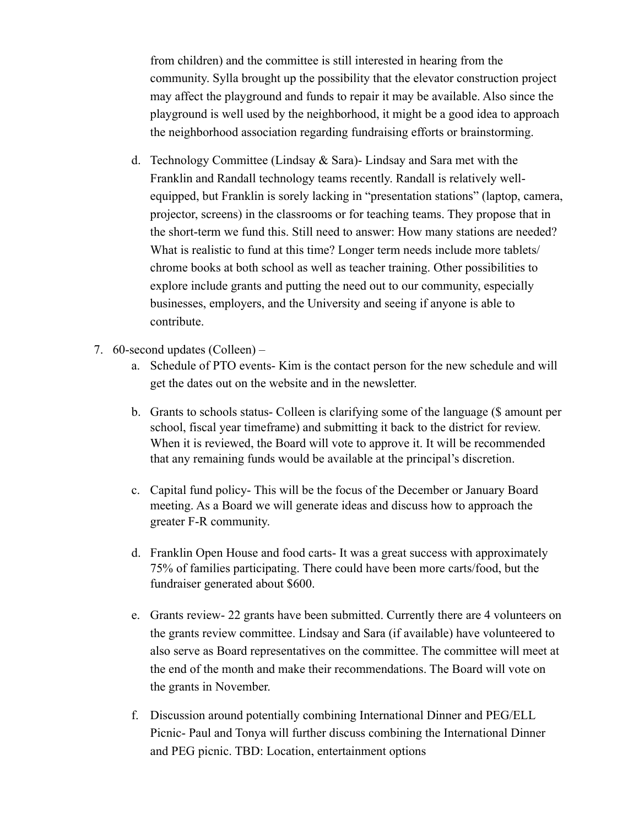from children) and the committee is still interested in hearing from the community. Sylla brought up the possibility that the elevator construction project may affect the playground and funds to repair it may be available. Also since the playground is well used by the neighborhood, it might be a good idea to approach the neighborhood association regarding fundraising efforts or brainstorming.

- d. Technology Committee (Lindsay & Sara)- Lindsay and Sara met with the Franklin and Randall technology teams recently. Randall is relatively wellequipped, but Franklin is sorely lacking in "presentation stations" (laptop, camera, projector, screens) in the classrooms or for teaching teams. They propose that in the short-term we fund this. Still need to answer: How many stations are needed? What is realistic to fund at this time? Longer term needs include more tablets/ chrome books at both school as well as teacher training. Other possibilities to explore include grants and putting the need out to our community, especially businesses, employers, and the University and seeing if anyone is able to contribute.
- 7. 60-second updates (Colleen)
	- a. Schedule of PTO events- Kim is the contact person for the new schedule and will get the dates out on the website and in the newsletter.
	- b. Grants to schools status- Colleen is clarifying some of the language (\$ amount per school, fiscal year timeframe) and submitting it back to the district for review. When it is reviewed, the Board will vote to approve it. It will be recommended that any remaining funds would be available at the principal's discretion.
	- c. Capital fund policy- This will be the focus of the December or January Board meeting. As a Board we will generate ideas and discuss how to approach the greater F-R community.
	- d. Franklin Open House and food carts- It was a great success with approximately 75% of families participating. There could have been more carts/food, but the fundraiser generated about \$600.
	- e. Grants review- 22 grants have been submitted. Currently there are 4 volunteers on the grants review committee. Lindsay and Sara (if available) have volunteered to also serve as Board representatives on the committee. The committee will meet at the end of the month and make their recommendations. The Board will vote on the grants in November.
	- f. Discussion around potentially combining International Dinner and PEG/ELL Picnic- Paul and Tonya will further discuss combining the International Dinner and PEG picnic. TBD: Location, entertainment options